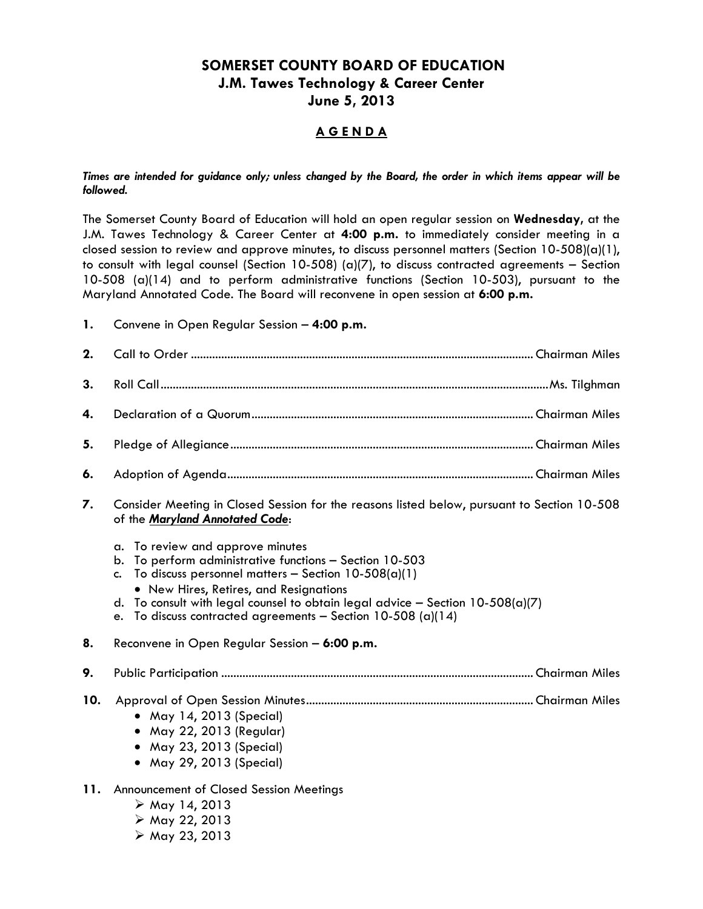# **SOMERSET COUNTY BOARD OF EDUCATION J.M. Tawes Technology & Career Center June 5, 2013**

## **A G E N D A**

#### *Times are intended for guidance only; unless changed by the Board, the order in which items appear will be followed.*

The Somerset County Board of Education will hold an open regular session on **Wednesday,** at the J.M. Tawes Technology & Career Center at **4:00 p.m.** to immediately consider meeting in a closed session to review and approve minutes, to discuss personnel matters (Section 10-508)(a)(1), to consult with legal counsel (Section 10-508) (a)(7), to discuss contracted agreements – Section 10-508 (a)(14) and to perform administrative functions (Section 10-503), pursuant to the Maryland Annotated Code. The Board will reconvene in open session at **6:00 p.m.**

**1.** Convene in Open Regular Session – **4:00 p.m.**

| 2.  |                                                                                                                                                                                                                                                                                                                                                                              |  |  |
|-----|------------------------------------------------------------------------------------------------------------------------------------------------------------------------------------------------------------------------------------------------------------------------------------------------------------------------------------------------------------------------------|--|--|
| 3.  |                                                                                                                                                                                                                                                                                                                                                                              |  |  |
| 4.  |                                                                                                                                                                                                                                                                                                                                                                              |  |  |
| 5.  |                                                                                                                                                                                                                                                                                                                                                                              |  |  |
| 6.  |                                                                                                                                                                                                                                                                                                                                                                              |  |  |
| 7.  | Consider Meeting in Closed Session for the reasons listed below, pursuant to Section 10-508<br>of the Maryland Annotated Code:                                                                                                                                                                                                                                               |  |  |
|     | To review and approve minutes<br>$\alpha$ .<br>To perform administrative functions - Section 10-503<br>b.<br>To discuss personnel matters - Section $10-508(a)(1)$<br>C.<br>• New Hires, Retires, and Resignations<br>To consult with legal counsel to obtain legal advice - Section $10-508(a)(7)$<br>d.<br>To discuss contracted agreements - Section 10-508 (a)(14)<br>e. |  |  |
| 8.  | Reconvene in Open Regular Session - 6:00 p.m.                                                                                                                                                                                                                                                                                                                                |  |  |
| 9.  |                                                                                                                                                                                                                                                                                                                                                                              |  |  |
| 10. | • May 14, 2013 (Special)<br>• May 22, 2013 (Regular)<br>• May 23, 2013 (Special)<br>• May 29, 2013 (Special)                                                                                                                                                                                                                                                                 |  |  |
| 11. | Announcement of Closed Session Meetings<br>$\triangleright$ May 14, 2013<br>> May 22, 2013<br>$\triangleright$ May 23, 2013                                                                                                                                                                                                                                                  |  |  |